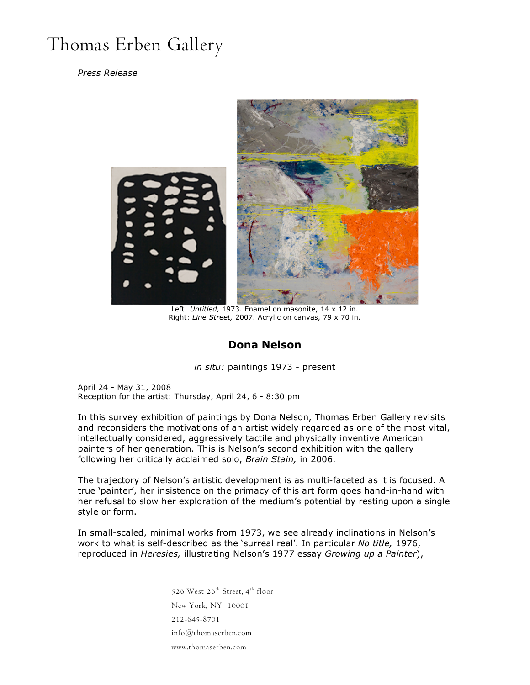## Thomas Erben Gallery

## *Press Release*



Left: *Untitled,* 1973*.* Enamel on masonite, 14 x 12 in. Right: *Line Street,* 2007. Acrylic on canvas, 79 x 70 in.

## **Dona Nelson**

*in situ:* paintings 1973 - present

April 24 - May 31, 2008 Reception for the artist: Thursday, April 24, 6 - 8:30 pm

In this survey exhibition of paintings by Dona Nelson, Thomas Erben Gallery revisits and reconsiders the motivations of an artist widely regarded as one of the most vital, intellectually considered, aggressively tactile and physically inventive American painters of her generation. This is Nelson's second exhibition with the gallery following her critically acclaimed solo, *Brain Stain,* in 2006.

The trajectory of Nelson's artistic development is as multi-faceted as it is focused. A true 'painter', her insistence on the primacy of this art form goes hand-in-hand with her refusal to slow her exploration of the medium's potential by resting upon a single style or form.

In small-scaled, minimal works from 1973, we see already inclinations in Nelson's work to what is self-described as the 'surreal real'. In particular *No title,* 1976, reproduced in *Heresies,* illustrating Nelson's 1977 essay *Growing up a Painter*),

> 526 West 26<sup>th</sup> Street, 4<sup>th</sup> floor New York, NY 10001 212-645-8701 info@thomaserben.com www.thomaserben.com